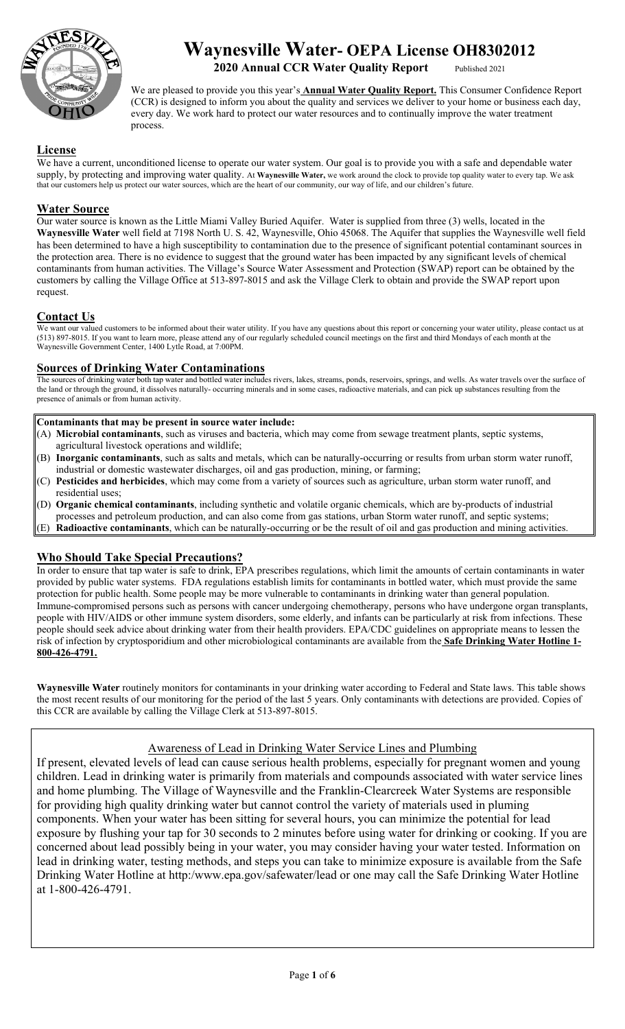

# **Waynesville Water- OEPA License OH8302012**

**2020 Annual CCR Water Quality Report** 

We are pleased to provide you this year's **Annual Water Quality Report.** This Consumer Confidence Report (CCR) is designed to inform you about the quality and services we deliver to your home or business each day, every day. We work hard to protect our water resources and to continually improve the water treatment process.

## **License**

We have a current, unconditioned license to operate our water system. Our goal is to provide you with a safe and dependable water supply, by protecting and improving water quality. At **Waynesville Water,** we work around the clock to provide top quality water to every tap. We ask that our customers help us protect our water sources, which are the heart of our community, our way of life, and our children's future.

## **Water Source**

Our water source is known as the Little Miami Valley Buried Aquifer. Water is supplied from three (3) wells, located in the **Waynesville Water** well field at 7198 North U. S. 42, Waynesville, Ohio 45068. The Aquifer that supplies the Waynesville well field has been determined to have a high susceptibility to contamination due to the presence of significant potential contaminant sources in the protection area. There is no evidence to suggest that the ground water has been impacted by any significant levels of chemical contaminants from human activities. The Village's Source Water Assessment and Protection (SWAP) report can be obtained by the customers by calling the Village Office at 513-897-8015 and ask the Village Clerk to obtain and provide the SWAP report upon request.

## **Contact Us**

We want our valued customers to be informed about their water utility. If you have any questions about this report or concerning your water utility, please contact us at (513) 897-8015. If you want to learn more, please attend any of our regularly scheduled council meetings on the first and third Mondays of each month at the Waynesville Government Center, 1400 Lytle Road, at 7:00PM.

## **Sources of Drinking Water Contaminations**

The sources of drinking water both tap water and bottled water includes rivers, lakes, streams, ponds, reservoirs, springs, and wells. As water travels over the surface of the land or through the ground, it dissolves naturally- occurring minerals and in some cases, radioactive materials, and can pick up substances resulting from the presence of animals or from human activity.

#### **Contaminants that may be present in source water include:**

- (A) **Microbial contaminants**, such as viruses and bacteria, which may come from sewage treatment plants, septic systems, agricultural livestock operations and wildlife;
- (B) **Inorganic contaminants**, such as salts and metals, which can be naturally-occurring or results from urban storm water runoff, industrial or domestic wastewater discharges, oil and gas production, mining, or farming;
- (C) **Pesticides and herbicides**, which may come from a variety of sources such as agriculture, urban storm water runoff, and residential uses;
- (D) **Organic chemical contaminants**, including synthetic and volatile organic chemicals, which are by-products of industrial
- processes and petroleum production, and can also come from gas stations, urban Storm water runoff, and septic systems;
- (E) **Radioactive contaminants**, which can be naturally-occurring or be the result of oil and gas production and mining activities.

#### **Who Should Take Special Precautions?**

In order to ensure that tap water is safe to drink, EPA prescribes regulations, which limit the amounts of certain contaminants in water provided by public water systems. FDA regulations establish limits for contaminants in bottled water, which must provide the same protection for public health. Some people may be more vulnerable to contaminants in drinking water than general population. Immune-compromised persons such as persons with cancer undergoing chemotherapy, persons who have undergone organ transplants, people with HIV/AIDS or other immune system disorders, some elderly, and infants can be particularly at risk from infections. These people should seek advice about drinking water from their health providers. EPA/CDC guidelines on appropriate means to lessen the risk of infection by cryptosporidium and other microbiological contaminants are available from the **Safe Drinking Water Hotline 1- 800-426-4791.** 

**Waynesville Water** routinely monitors for contaminants in your drinking water according to Federal and State laws. This table shows the most recent results of our monitoring for the period of the last 5 years. Only contaminants with detections are provided. Copies of this CCR are available by calling the Village Clerk at 513-897-8015.

# Awareness of Lead in Drinking Water Service Lines and Plumbing

If present, elevated levels of lead can cause serious health problems, especially for pregnant women and young children. Lead in drinking water is primarily from materials and compounds associated with water service lines and home plumbing. The Village of Waynesville and the Franklin-Clearcreek Water Systems are responsible for providing high quality drinking water but cannot control the variety of materials used in pluming components. When your water has been sitting for several hours, you can minimize the potential for lead exposure by flushing your tap for 30 seconds to 2 minutes before using water for drinking or cooking. If you are concerned about lead possibly being in your water, you may consider having your water tested. Information on lead in drinking water, testing methods, and steps you can take to minimize exposure is available from the Safe Drinking Water Hotline at http:/www.epa.gov/safewater/lead or one may call the Safe Drinking Water Hotline at 1-800-426-4791.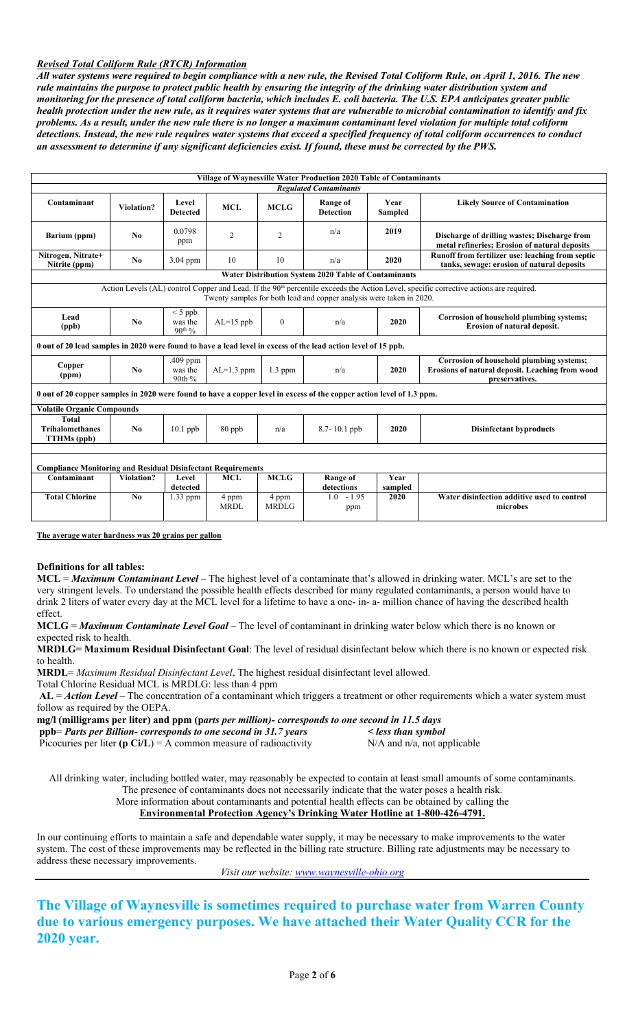#### *Revised Total Coliform Rule (RTCR) Information*

*All water systems were required to begin compliance with a new rule, the Revised Total Coliform Rule, on April 1, 2016. The new rule maintains the purpose to protect public health by ensuring the integrity of the drinking water distribution system and monitoring for the presence of total coliform bacteria, which includes E. coli bacteria. The U.S. EPA anticipates greater public health protection under the new rule, as it requires water systems that are vulnerable to microbial contamination to identify and fix problems. As a result, under the new rule there is no longer a maximum contaminant level violation for multiple total coliform detections. Instead, the new rule requires water systems that exceed a specified frequency of total coliform occurrences to conduct an assessment to determine if any significant deficiencies exist. If found, these must be corrected by the PWS.*

| Village of Waynesville Water Production 2020 Table of Contaminants                                                                                                                                                         |                   |                                                                                                                                                         |                      |                          |                                       |         |                                                                                                               |  |  |  |  |
|----------------------------------------------------------------------------------------------------------------------------------------------------------------------------------------------------------------------------|-------------------|---------------------------------------------------------------------------------------------------------------------------------------------------------|----------------------|--------------------------|---------------------------------------|---------|---------------------------------------------------------------------------------------------------------------|--|--|--|--|
| Contaminant                                                                                                                                                                                                                | <b>Violation?</b> | <b>Regulated Contaminants</b><br><b>Range of</b><br>Year<br>Level<br><b>MCL</b><br><b>MCLG</b><br><b>Detection</b><br><b>Sampled</b><br><b>Detected</b> |                      |                          | <b>Likely Source of Contamination</b> |         |                                                                                                               |  |  |  |  |
| Barium (ppm)                                                                                                                                                                                                               | N <sub>0</sub>    | 0.0798<br>ppm                                                                                                                                           | 2                    | 2                        | n/a                                   | 2019    | Discharge of drilling wastes; Discharge from<br>metal refineries; Erosion of natural deposits                 |  |  |  |  |
| Nitrogen, Nitrate+<br>Nitrite (ppm)                                                                                                                                                                                        | No                | 3.04 ppm                                                                                                                                                | 10                   | 10                       | n/a                                   | 2020    | Runoff from fertilizer use: leaching from septic<br>tanks, sewage: erosion of natural deposits                |  |  |  |  |
| <b>Water Distribution System 2020 Table of Contaminants</b>                                                                                                                                                                |                   |                                                                                                                                                         |                      |                          |                                       |         |                                                                                                               |  |  |  |  |
| Action Levels (AL) control Copper and Lead. If the 90 <sup>th</sup> percentile exceeds the Action Level, specific corrective actions are required.<br>Twenty samples for both lead and copper analysis were taken in 2020. |                   |                                                                                                                                                         |                      |                          |                                       |         |                                                                                                               |  |  |  |  |
| Lead<br>(ppb)                                                                                                                                                                                                              | No                | $<$ 5 ppb<br>$AL=15$ ppb<br>was the<br>$\mathbf{0}$<br>2020<br>n/a<br><b>Erosion of natural deposit.</b><br>$90^{th}$ %                                 |                      |                          |                                       |         | Corrosion of household plumbing systems;                                                                      |  |  |  |  |
| 0 out of 20 lead samples in 2020 were found to have a lead level in excess of the lead action level of 15 ppb.                                                                                                             |                   |                                                                                                                                                         |                      |                          |                                       |         |                                                                                                               |  |  |  |  |
| Copper<br>(ppm)                                                                                                                                                                                                            | No                | .409 ppm<br>was the<br>90th %                                                                                                                           | $AL=1.3$ ppm         | 2020<br>$1.3$ ppm<br>n/a |                                       |         | Corrosion of household plumbing systems;<br>Erosions of natural deposit. Leaching from wood<br>preservatives. |  |  |  |  |
| 0 out of 20 copper samples in 2020 were found to have a copper level in excess of the copper action level of 1.3 ppm.                                                                                                      |                   |                                                                                                                                                         |                      |                          |                                       |         |                                                                                                               |  |  |  |  |
| <b>Volatile Organic Compounds</b>                                                                                                                                                                                          |                   |                                                                                                                                                         |                      |                          |                                       |         |                                                                                                               |  |  |  |  |
| <b>Total</b><br><b>Trihalomethanes</b><br><b>TTHMs</b> (ppb)                                                                                                                                                               | N <sub>0</sub>    | $10.1$ ppb                                                                                                                                              | $80$ ppb             | n/a                      | 8.7-10.1 ppb                          | 2020    | <b>Disinfectant byproducts</b>                                                                                |  |  |  |  |
| <b>Compliance Monitoring and Residual Disinfectant Requirements</b>                                                                                                                                                        |                   |                                                                                                                                                         |                      |                          |                                       |         |                                                                                                               |  |  |  |  |
| Contaminant                                                                                                                                                                                                                | Violation?        | Level                                                                                                                                                   | <b>MCL</b>           | <b>MCLG</b>              | <b>Range of</b>                       | Year    |                                                                                                               |  |  |  |  |
|                                                                                                                                                                                                                            |                   | detected                                                                                                                                                |                      |                          | detections                            | sampled |                                                                                                               |  |  |  |  |
| <b>Total Chlorine</b>                                                                                                                                                                                                      | No                | $1.33$ ppm                                                                                                                                              | 4 ppm<br><b>MRDL</b> | 4 ppm<br><b>MRDLG</b>    | $1.0 - 1.95$<br>ppm                   | 2020    | Water disinfection additive used to control<br>microbes                                                       |  |  |  |  |

**The average water hardness was 20 grains per gallon** 

#### **Definitions for all tables:**

**MCL** = *Maximum Contaminant Level* – The highest level of a contaminate that's allowed in drinking water. MCL's are set to the very stringent levels. To understand the possible health effects described for many regulated contaminants, a person would have to drink 2 liters of water every day at the MCL level for a lifetime to have a one- in- a- million chance of having the described health effect.

**MCLG** = *Maximum Contaminate Level Goal –* The level of contaminant in drinking water below which there is no known or expected risk to health.

**MRDLG= Maximum Residual Disinfectant Goal**: The level of residual disinfectant below which there is no known or expected risk to health.

**MRDL**= *Maximum Residual Disinfectant Level*, The highest residual disinfectant level allowed.

Total Chlorine Residual MCL is MRDLG: less than 4 ppm

**AL** = *Action Level* – The concentration of a contaminant which triggers a treatment or other requirements which a water system must follow as required by the OEPA.

**mg/l (milligrams per liter) and ppm (p***arts per million)- corresponds to one second in 11.5 days*  **ppb**= *Parts per Billion- corresponds to one second in 31.7 years < less than symbol* 

Picocuries per liter **(p Ci/L)** = A common measure of radioactivity N/A and n/a, not applicable

All drinking water, including bottled water, may reasonably be expected to contain at least small amounts of some contaminants. The presence of contaminants does not necessarily indicate that the water poses a health risk.

More information about contaminants and potential health effects can be obtained by calling the

#### **Environmental Protection Agency's Drinking Water Hotline at 1-800-426-4791.**

In our continuing efforts to maintain a safe and dependable water supply, it may be necessary to make improvements to the water system. The cost of these improvements may be reflected in the billing rate structure. Billing rate adjustments may be necessary to address these necessary improvements.

*Visit our website: www.waynesville-ohio.org*

**The Village of Waynesville is sometimes required to purchase water from Warren County due to various emergency purposes. We have attached their Water Quality CCR for the 2020 year.**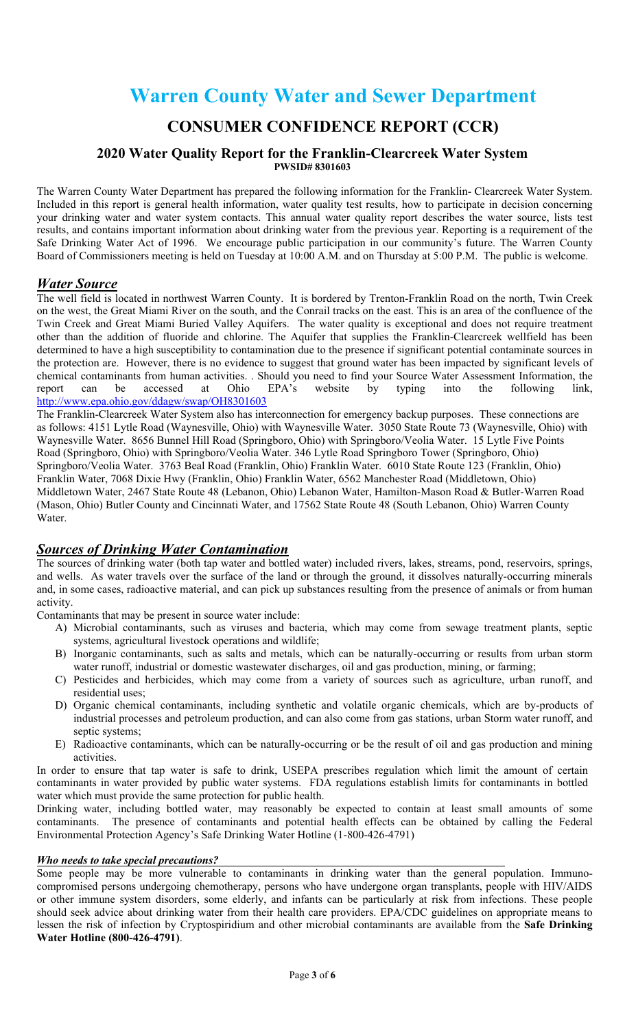# **Warren County Water and Sewer Department**

# **CONSUMER CONFIDENCE REPORT (CCR)**

#### **2020 Water Quality Report for the Franklin-Clearcreek Water System PWSID# 8301603**

The Warren County Water Department has prepared the following information for the Franklin- Clearcreek Water System. Included in this report is general health information, water quality test results, how to participate in decision concerning your drinking water and water system contacts. This annual water quality report describes the water source, lists test results, and contains important information about drinking water from the previous year. Reporting is a requirement of the Safe Drinking Water Act of 1996. We encourage public participation in our community's future. The Warren County Board of Commissioners meeting is held on Tuesday at 10:00 A.M. and on Thursday at 5:00 P.M. The public is welcome.

# *Water Source*

The well field is located in northwest Warren County. It is bordered by Trenton-Franklin Road on the north, Twin Creek on the west, the Great Miami River on the south, and the Conrail tracks on the east. This is an area of the confluence of the Twin Creek and Great Miami Buried Valley Aquifers. The water quality is exceptional and does not require treatment other than the addition of fluoride and chlorine. The Aquifer that supplies the Franklin-Clearcreek wellfield has been determined to have a high susceptibility to contamination due to the presence if significant potential contaminate sources in the protection are. However, there is no evidence to suggest that ground water has been impacted by significant levels of chemical contaminants from human activities. . Should you need to find your Source Water Assessment Information, the report can be accessed at Ohio EPA's website by typing into the following link. report can be accessed at Ohio EPA's website by typing into the following link, http://www.epa.ohio.gov/ddagw/swap/OH8301603

The Franklin-Clearcreek Water System also has interconnection for emergency backup purposes. These connections are as follows: 4151 Lytle Road (Waynesville, Ohio) with Waynesville Water. 3050 State Route 73 (Waynesville, Ohio) with Waynesville Water. 8656 Bunnel Hill Road (Springboro, Ohio) with Springboro/Veolia Water. 15 Lytle Five Points Road (Springboro, Ohio) with Springboro/Veolia Water. 346 Lytle Road Springboro Tower (Springboro, Ohio) Springboro/Veolia Water. 3763 Beal Road (Franklin, Ohio) Franklin Water. 6010 State Route 123 (Franklin, Ohio) Franklin Water, 7068 Dixie Hwy (Franklin, Ohio) Franklin Water, 6562 Manchester Road (Middletown, Ohio) Middletown Water, 2467 State Route 48 (Lebanon, Ohio) Lebanon Water, Hamilton-Mason Road & Butler-Warren Road (Mason, Ohio) Butler County and Cincinnati Water, and 17562 State Route 48 (South Lebanon, Ohio) Warren County Water.

# *Sources of Drinking Water Contamination*

The sources of drinking water (both tap water and bottled water) included rivers, lakes, streams, pond, reservoirs, springs, and wells. As water travels over the surface of the land or through the ground, it dissolves naturally-occurring minerals and, in some cases, radioactive material, and can pick up substances resulting from the presence of animals or from human activity.

Contaminants that may be present in source water include:

- A) Microbial contaminants, such as viruses and bacteria, which may come from sewage treatment plants, septic systems, agricultural livestock operations and wildlife;
- B) Inorganic contaminants, such as salts and metals, which can be naturally-occurring or results from urban storm water runoff, industrial or domestic wastewater discharges, oil and gas production, mining, or farming;
- C) Pesticides and herbicides, which may come from a variety of sources such as agriculture, urban runoff, and residential uses;
- D) Organic chemical contaminants, including synthetic and volatile organic chemicals, which are by-products of industrial processes and petroleum production, and can also come from gas stations, urban Storm water runoff, and septic systems:
- E) Radioactive contaminants, which can be naturally-occurring or be the result of oil and gas production and mining activities.

In order to ensure that tap water is safe to drink, USEPA prescribes regulation which limit the amount of certain contaminants in water provided by public water systems. FDA regulations establish limits for contaminants in bottled water which must provide the same protection for public health.

Drinking water, including bottled water, may reasonably be expected to contain at least small amounts of some contaminants. The presence of contaminants and potential health effects can be obtained by calling the Federal Environmental Protection Agency's Safe Drinking Water Hotline (1-800-426-4791)

#### *Who needs to take special precautions?*

Some people may be more vulnerable to contaminants in drinking water than the general population. Immunocompromised persons undergoing chemotherapy, persons who have undergone organ transplants, people with HIV/AIDS or other immune system disorders, some elderly, and infants can be particularly at risk from infections. These people should seek advice about drinking water from their health care providers. EPA/CDC guidelines on appropriate means to lessen the risk of infection by Cryptospiridium and other microbial contaminants are available from the **Safe Drinking Water Hotline (800-426-4791)**.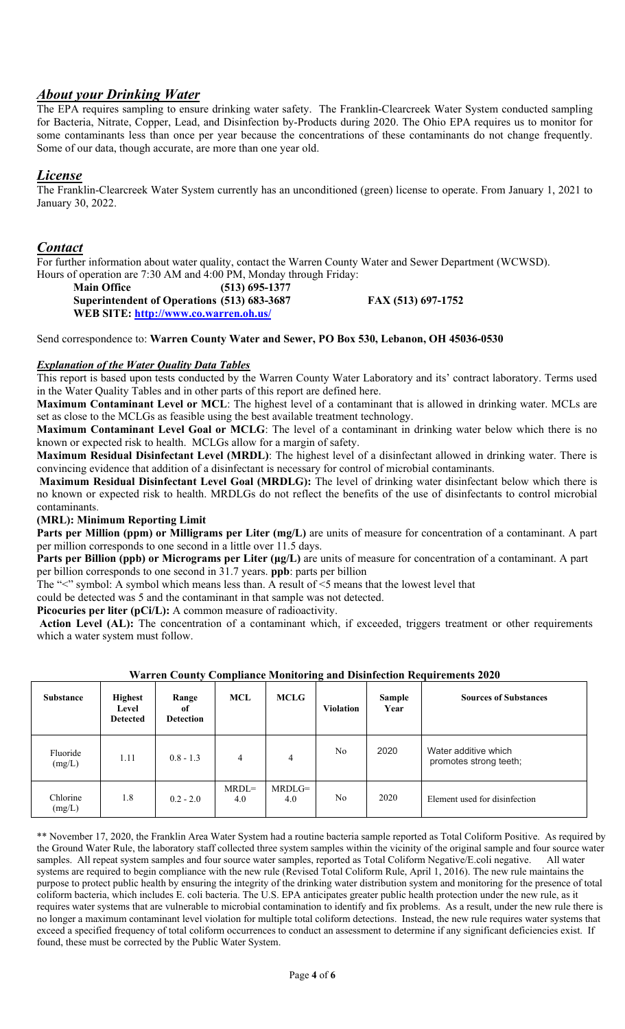# *About your Drinking Water*

The EPA requires sampling to ensure drinking water safety. The Franklin-Clearcreek Water System conducted sampling for Bacteria, Nitrate, Copper, Lead, and Disinfection by-Products during 2020. The Ohio EPA requires us to monitor for some contaminants less than once per year because the concentrations of these contaminants do not change frequently. Some of our data, though accurate, are more than one year old.

# *License*

The Franklin-Clearcreek Water System currently has an unconditioned (green) license to operate. From January 1, 2021 to January 30, 2022.

# *Contact*

For further information about water quality, contact the Warren County Water and Sewer Department (WCWSD). Hours of operation are 7:30 AM and 4:00 PM, Monday through Friday:

| <b>Main Office</b>                          | $(513)$ 695-1377 |
|---------------------------------------------|------------------|
| Superintendent of Operations (513) 683-3687 |                  |
| WEB SITE: http://www.co.warren.oh.us/       |                  |

**Superintendent of Operations (513) 683-3687 FAX (513) 697-1752** 

Send correspondence to: **Warren County Water and Sewer, PO Box 530, Lebanon, OH 45036-0530** 

## *Explanation of the Water Quality Data Tables*

This report is based upon tests conducted by the Warren County Water Laboratory and its' contract laboratory. Terms used in the Water Quality Tables and in other parts of this report are defined here.

**Maximum Contaminant Level or MCL**: The highest level of a contaminant that is allowed in drinking water. MCLs are set as close to the MCLGs as feasible using the best available treatment technology.

**Maximum Contaminant Level Goal or MCLG**: The level of a contaminant in drinking water below which there is no known or expected risk to health. MCLGs allow for a margin of safety.

**Maximum Residual Disinfectant Level (MRDL)**: The highest level of a disinfectant allowed in drinking water. There is convincing evidence that addition of a disinfectant is necessary for control of microbial contaminants.

 **Maximum Residual Disinfectant Level Goal (MRDLG):** The level of drinking water disinfectant below which there is no known or expected risk to health. MRDLGs do not reflect the benefits of the use of disinfectants to control microbial contaminants.

#### **(MRL): Minimum Reporting Limit**

**Parts per Million (ppm) or Milligrams per Liter (mg/L)** are units of measure for concentration of a contaminant. A part per million corresponds to one second in a little over 11.5 days.

**Parts per Billion (ppb) or Micrograms per Liter (μg/L)** are units of measure for concentration of a contaminant. A part per billion corresponds to one second in 31.7 years. **ppb**: parts per billion

The "<" symbol: A symbol which means less than. A result of <5 means that the lowest level that

could be detected was 5 and the contaminant in that sample was not detected.

Picocuries per liter (pCi/L): A common measure of radioactivity.

 **Action Level (AL):** The concentration of a contaminant which, if exceeded, triggers treatment or other requirements which a water system must follow.

| <b>Substance</b>   | <b>Highest</b><br>Level<br><b>Detected</b> | Range<br>of<br><b>Detection</b> | <b>MCL</b>     | <b>MCLG</b>     | <b>Violation</b> | Sample<br>Year | <b>Sources of Substances</b>                   |
|--------------------|--------------------------------------------|---------------------------------|----------------|-----------------|------------------|----------------|------------------------------------------------|
| Fluoride<br>(mg/L) | 1.11                                       | $0.8 - 1.3$                     | 4              | $\overline{4}$  | No               | 2020           | Water additive which<br>promotes strong teeth; |
| Chlorine<br>(mg/L) | 1.8                                        | $0.2 - 2.0$                     | $MRDL=$<br>4.0 | $MRDLG=$<br>4.0 | N <sub>o</sub>   | 2020           | Element used for disinfection                  |

#### **Warren County Compliance Monitoring and Disinfection Requirements 2020**

\*\* November 17, 2020, the Franklin Area Water System had a routine bacteria sample reported as Total Coliform Positive. As required by the Ground Water Rule, the laboratory staff collected three system samples within the vicinity of the original sample and four source water samples. All repeat system samples and four source water samples, reported as Total Coliform Negative/E.coli negative. All water systems are required to begin compliance with the new rule (Revised Total Coliform Rule, April 1, 2016). The new rule maintains the purpose to protect public health by ensuring the integrity of the drinking water distribution system and monitoring for the presence of total coliform bacteria, which includes E. coli bacteria. The U.S. EPA anticipates greater public health protection under the new rule, as it requires water systems that are vulnerable to microbial contamination to identify and fix problems. As a result, under the new rule there is no longer a maximum contaminant level violation for multiple total coliform detections. Instead, the new rule requires water systems that exceed a specified frequency of total coliform occurrences to conduct an assessment to determine if any significant deficiencies exist. If found, these must be corrected by the Public Water System.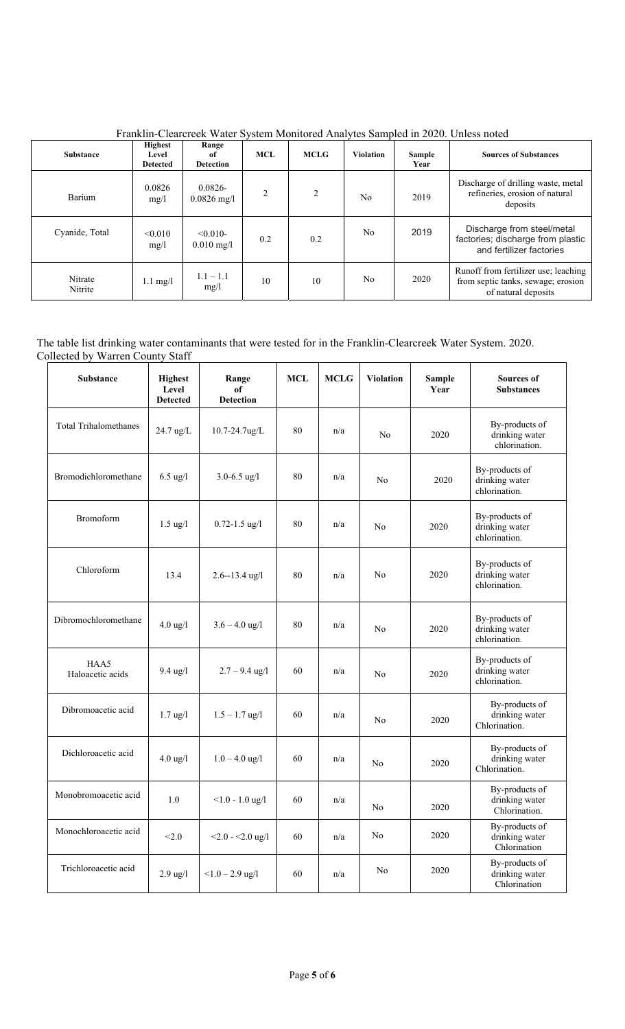| <b>Highest</b><br>Range<br><b>Substance</b><br>Level<br>of<br><b>Detected</b><br><b>Detection</b> |                    | <b>MCL</b>                          | <b>MCLG</b>    | <b>Violation</b> | <b>Sample</b><br>Year | <b>Sources of Substances</b> |                                                                                                   |
|---------------------------------------------------------------------------------------------------|--------------------|-------------------------------------|----------------|------------------|-----------------------|------------------------------|---------------------------------------------------------------------------------------------------|
| Barium                                                                                            | 0.0826<br>mg/l     | $0.0826 -$<br>$0.0826$ mg/l         | $\overline{2}$ | $\overline{c}$   | N <sub>0</sub>        | 2019                         | Discharge of drilling waste, metal<br>refineries, erosion of natural<br>deposits                  |
| Cyanide, Total                                                                                    | < 0.010<br>mg/l    | $< 0.010 -$<br>$0.010 \text{ mg}/1$ | 0.2            | 0.2              | N <sub>o</sub>        | 2019                         | Discharge from steel/metal<br>factories; discharge from plastic<br>and fertilizer factories       |
| Nitrate<br>Nitrite                                                                                | $1.1 \text{ mg}/1$ | $1.1 - 1.1$<br>mg/1                 | 10             | 10               | N <sub>0</sub>        | 2020                         | Runoff from fertilizer use; leaching<br>from septic tanks, sewage; erosion<br>of natural deposits |

Franklin-Clearcreek Water System Monitored Analytes Sampled in 2020. Unless noted

# The table list drinking water contaminants that were tested for in the Franklin-Clearcreek Water System. 2020. Collected by Warren County Staff

| <b>Substance</b>             | <b>Highest</b><br>Level<br><b>Detected</b> | Range<br>of<br><b>Detection</b> | <b>MCL</b> | <b>MCLG</b> | <b>Violation</b> | <b>Sample</b><br>Year | <b>Sources of</b><br><b>Substances</b>            |
|------------------------------|--------------------------------------------|---------------------------------|------------|-------------|------------------|-----------------------|---------------------------------------------------|
| <b>Total Trihalomethanes</b> | 24.7 ug/L<br>$10.7 - 24.7$ ug/L            |                                 | 80         | n/a         | N <sub>o</sub>   | 2020                  | By-products of<br>drinking water<br>chlorination. |
| Bromodichloromethane         | $6.5 \text{ ug}/l$                         | $3.0 - 6.5$ ug/l                | 80         | n/a         | N <sub>o</sub>   | 2020                  | By-products of<br>drinking water<br>chlorination. |
| <b>Bromoform</b>             | $1.5$ ug/l                                 | $0.72 - 1.5$ ug/l               | 80         | n/a         | N <sub>o</sub>   | 2020                  | By-products of<br>drinking water<br>chlorination. |
| Chloroform<br>13.4           |                                            | $2.6 - 13.4$ ug/l               | 80         | n/a         | N <sub>o</sub>   | 2020                  | By-products of<br>drinking water<br>chlorination. |
| Dibromochloromethane         | $4.0 \text{ ug}/l$                         | $3.6 - 4.0$ ug/l                | 80         | n/a         | No               | 2020                  | By-products of<br>drinking water<br>chlorination. |
| HAA5<br>Haloacetic acids     | $9.4 \text{ ug}/l$                         | $2.7 - 9.4$ ug/l                | 60         | n/a         | No               | 2020                  | By-products of<br>drinking water<br>chlorination. |
| Dibromoacetic acid           | $1.7$ ug/l                                 | $1.5 - 1.7$ ug/l                | 60         | n/a         | No               | 2020                  | By-products of<br>drinking water<br>Chlorination. |
| Dichloroacetic acid          | $4.0 \text{ ug}/l$                         | $1.0 - 4.0$ ug/l                | 60         | n/a         | No               | 2020                  | By-products of<br>drinking water<br>Chlorination. |
| Monobromoacetic acid         | 1.0                                        | $< 1.0 - 1.0$ ug/l              | 60         | n/a         | No               | 2020                  | By-products of<br>drinking water<br>Chlorination. |
| Monochloroacetic acid        | < 2.0                                      | $<$ 2.0 - $<$ 2.0 ug/l          | 60         | n/a         | No               | 2020                  | By-products of<br>drinking water<br>Chlorination  |
| Trichloroacetic acid         | $2.9$ ug/l                                 | $<1.0 - 2.9$ ug/l               | 60         | n/a         | No               | 2020                  | By-products of<br>drinking water<br>Chlorination  |